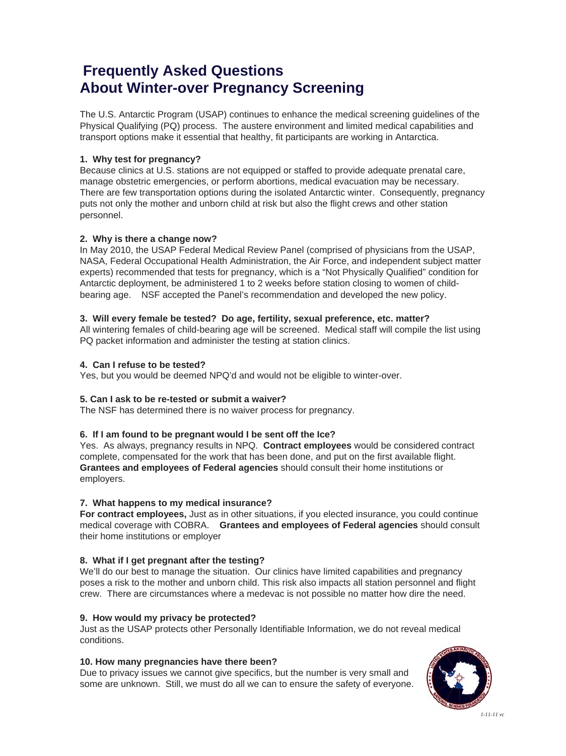### **Frequently Asked Questions About Winter-over Pregnancy Screening**

The U.S. Antarctic Program (USAP) continues to enhance the medical screening guidelines of the Physical Qualifying (PQ) process. The austere environment and limited medical capabilities and transport options make it essential that healthy, fit participants are working in Antarctica.

#### **1. Why test for pregnancy?**

Because clinics at U.S. stations are not equipped or staffed to provide adequate prenatal care, manage obstetric emergencies, or perform abortions, medical evacuation may be necessary. There are few transportation options during the isolated Antarctic winter. Consequently, pregnancy puts not only the mother and unborn child at risk but also the flight crews and other station personnel.

#### **2. Why is there a change now?**

In May 2010, the USAP Federal Medical Review Panel (comprised of physicians from the USAP, NASA, Federal Occupational Health Administration, the Air Force, and independent subject matter experts) recommended that tests for pregnancy, which is a "Not Physically Qualified" condition for Antarctic deployment, be administered 1 to 2 weeks before station closing to women of childbearing age. NSF accepted the Panel's recommendation and developed the new policy.

#### **3. Will every female be tested? Do age, fertility, sexual preference, etc. matter?**

All wintering females of child-bearing age will be screened. Medical staff will compile the list using PQ packet information and administer the testing at station clinics.

#### **4. Can I refuse to be tested?**

Yes, but you would be deemed NPQ'd and would not be eligible to winter-over.

#### **5. Can I ask to be re-tested or submit a waiver?**

The NSF has determined there is no waiver process for pregnancy.

#### **6. If I am found to be pregnant would I be sent off the Ice?**

Yes. As always, pregnancy results in NPQ. **Contract employees** would be considered contract complete, compensated for the work that has been done, and put on the first available flight. **Grantees and employees of Federal agencies** should consult their home institutions or employers.

#### **7. What happens to my medical insurance?**

**For contract employees,** Just as in other situations, if you elected insurance, you could continue medical coverage with COBRA. **Grantees and employees of Federal agencies** should consult their home institutions or employer

#### **8. What if I get pregnant after the testing?**

We'll do our best to manage the situation. Our clinics have limited capabilities and pregnancy poses a risk to the mother and unborn child. This risk also impacts all station personnel and flight crew. There are circumstances where a medevac is not possible no matter how dire the need.

#### **9. How would my privacy be protected?**

Just as the USAP protects other Personally Identifiable Information, we do not reveal medical conditions.

#### **10. How many pregnancies have there been?**

Due to privacy issues we cannot give specifics, but the number is very small and some are unknown. Still, we must do all we can to ensure the safety of everyone.